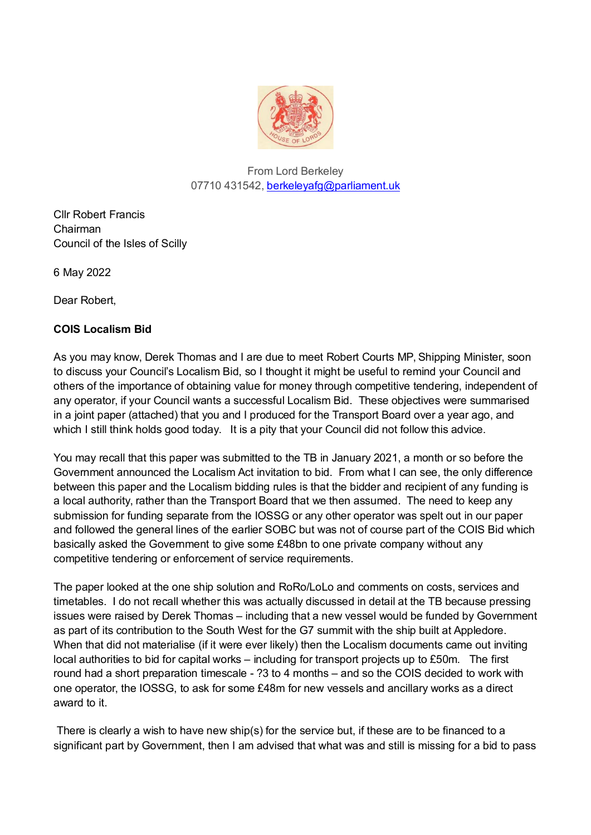

## From Lord Berkeley 07710 431542, berkeleyafg@parliament.uk

Cllr Robert Francis Chairman Council of the Isles of Scilly

6 May 2022

Dear Robert,

## **COIS Localism Bid**

As you may know, Derek Thomas and I are due to meet Robert Courts MP, Shipping Minister, soon to discuss your Council's Localism Bid, so I thought it might be useful to remind your Council and others of the importance of obtaining value for money through competitive tendering, independent of any operator, if your Council wants a successful Localism Bid. These objectives were summarised in a joint paper (attached) that you and I produced for the Transport Board over a year ago, and which I still think holds good today. It is a pity that your Council did not follow this advice.

You may recall that this paper was submitted to the TB in January 2021, a month or so before the Government announced the Localism Act invitation to bid. From what I can see, the only difference between this paper and the Localism bidding rules is that the bidder and recipient of any funding is a local authority, rather than the Transport Board that we then assumed. The need to keep any submission for funding separate from the IOSSG or any other operator was spelt out in our paper and followed the general lines of the earlier SOBC but was not of course part of the COIS Bid which basically asked the Government to give some £48bn to one private company without any competitive tendering or enforcement of service requirements.

The paper looked at the one ship solution and RoRo/LoLo and comments on costs, services and timetables. I do not recall whether this was actually discussed in detail at the TB because pressing issues were raised by Derek Thomas – including that a new vessel would be funded by Government as part of its contribution to the South West for the G7 summit with the ship built at Appledore. When that did not materialise (if it were ever likely) then the Localism documents came out inviting local authorities to bid for capital works – including for transport projects up to £50m. The first round had a short preparation timescale - ?3 to 4 months – and so the COIS decided to work with one operator, the IOSSG, to ask for some £48m for new vessels and ancillary works as a direct award to it.

There is clearly a wish to have new ship(s) for the service but, if these are to be financed to a significant part by Government, then I am advised that what was and still is missing for a bid to pass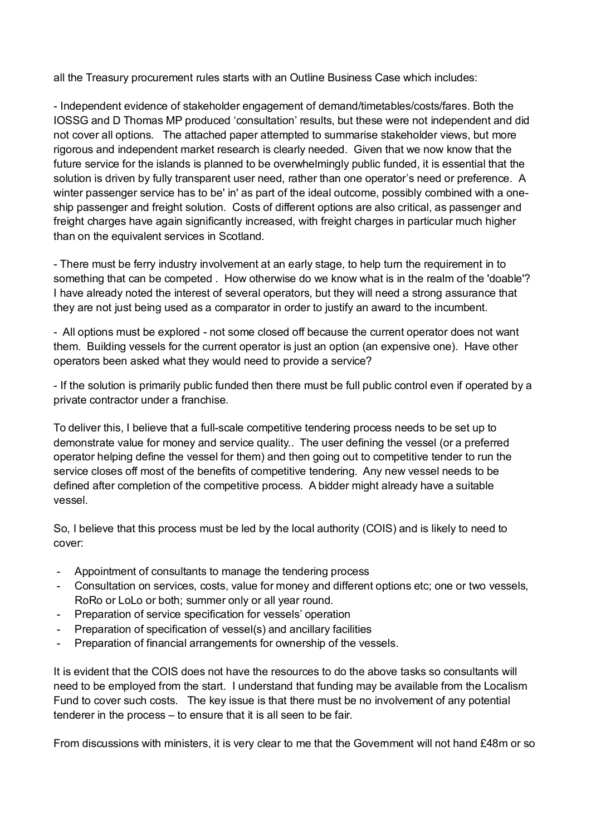all the Treasury procurement rules starts with an Outline Business Case which includes:

- Independent evidence of stakeholder engagement of demand/timetables/costs/fares. Both the IOSSG and D Thomas MP produced 'consultation' results, but these were not independent and did not cover all options. The attached paper attempted to summarise stakeholder views, but more rigorous and independent market research is clearly needed. Given that we now know that the future service for the islands is planned to be overwhelmingly public funded, it is essential that the solution is driven by fully transparent user need, rather than one operator's need or preference. A winter passenger service has to be' in' as part of the ideal outcome, possibly combined with a oneship passenger and freight solution. Costs of different options are also critical, as passenger and freight charges have again significantly increased, with freight charges in particular much higher than on the equivalent services in Scotland.

- There must be ferry industry involvement at an early stage, to help turn the requirement in to something that can be competed . How otherwise do we know what is in the realm of the 'doable'? I have already noted the interest of several operators, but they will need a strong assurance that they are not just being used as a comparator in order to justify an award to the incumbent.

- All options must be explored - not some closed off because the current operator does not want them. Building vessels for the current operator is just an option (an expensive one). Have other operators been asked what they would need to provide a service?

- If the solution is primarily public funded then there must be full public control even if operated by a private contractor under a franchise.

To deliver this, I believe that a full-scale competitive tendering process needs to be set up to demonstrate value for money and service quality.. The user defining the vessel (or a preferred operator helping define the vessel for them) and then going out to competitive tender to run the service closes off most of the benefits of competitive tendering. Any new vessel needs to be defined after completion of the competitive process. A bidder might already have a suitable vessel.

So, I believe that this process must be led by the local authority (COIS) and is likely to need to cover:

- Appointment of consultants to manage the tendering process
- Consultation on services, costs, value for money and different options etc; one or two vessels, RoRo or LoLo or both; summer only or all year round.
- Preparation of service specification for vessels' operation
- Preparation of specification of vessel(s) and ancillary facilities
- Preparation of financial arrangements for ownership of the vessels.

It is evident that the COIS does not have the resources to do the above tasks so consultants will need to be employed from the start. I understand that funding may be available from the Localism Fund to cover such costs. The key issue is that there must be no involvement of any potential tenderer in the process – to ensure that it is all seen to be fair.

From discussions with ministers, it is very clear to me that the Government will not hand £48m or so